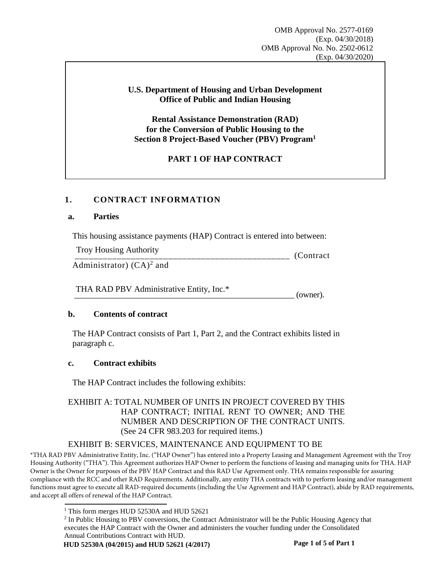## **U.S. Department of Housing and Urban Development Office of Public and Indian Housing**

**Rental Assistance Demonstration (RAD) for the Conversion of Public Housing to the Section 8 Project-Based Voucher (PBV) Program<sup>1</sup>**

# **PART 1 OF HAP CONTRACT**

# **1. CONTRACT INFORMATION**

### **a. Parties**

This housing assistance payments (HAP) Contract is entered into between:

Troy Housing Authority (Contract) Administrator)  $(CA)^2$  and Troy Housing Authority<br>
Administrator)  $(\overline{CA})^2$  and<br>
THA RAD PBV Administrative Entity, Inc.\* (owner).

# **b. Contents of contract**

The HAP Contract consists of Part 1, Part 2, and the Contract exhibits listed in paragraph c.

### **c. Contract exhibits**

The HAP Contract includes the following exhibits:

# EXHIBIT A: TOTAL NUMBER OF UNITS IN PROJECT COVERED BY THIS HAP CONTRACT; INITIAL RENT TO OWNER; AND THE NUMBER AND DESCRIPTION OF THE CONTRACT UNITS. (See 24 CFR 983.203 for required items.)

# EXHIBIT B: SERVICES, MAINTENANCE AND EQUIPMENT TO BE

\*THA RAD PBV Administrative Entity, Inc. ("HAP Owner") has entered into a Property Leasing and Management Agreement with the Troy Housing Authority ("THA"). This Agreement authorizes HAP Owner to perform the functions of leasing and managing units for THA. HAP Owner is the Owner for purposes of the PBV HAP Contract and this RAD Use Agreement only. THA remains responsible for assuring compliance with the RCC and other RAD Requirements. Additionally, any entity THA contracts with to perform leasing and/or management functions must agree to execute all RAD-required documents (including the Use Agreement and HAP Contract), abide by RAD requirements, and accept all offers of renewal of the HAP Contract.

<sup>&</sup>lt;sup>1</sup> This form merges HUD 52530A and HUD 52621

<sup>&</sup>lt;sup>2</sup> In Public Housing to PBV conversions, the Contract Administrator will be the Public Housing Agency that executes the HAP Contract with the Owner and administers the voucher funding under the Consolidated Annual Contributions Contract with HUD.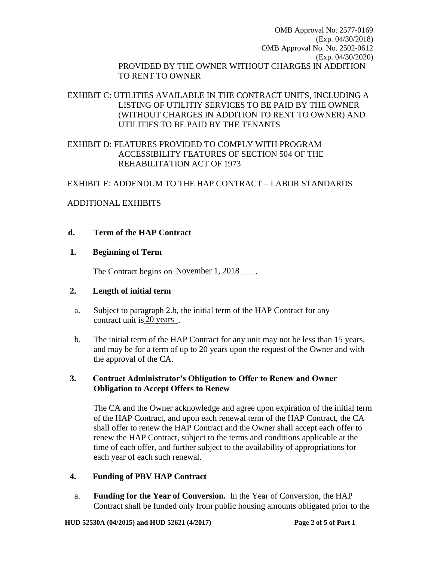OMB Approval No. 2577-0169 (Exp. 04/30/2018) OMB Approval No. No. 2502-0612 (Exp. 04/30/2020) PROVIDED BY THE OWNER WITHOUT CHARGES IN ADDITION TO RENT TO OWNER

# EXHIBIT C: UTILITIES AVAILABLE IN THE CONTRACT UNITS, INCLUDING A LISTING OF UTILITIY SERVICES TO BE PAID BY THE OWNER (WITHOUT CHARGES IN ADDITION TO RENT TO OWNER) AND UTILITIES TO BE PAID BY THE TENANTS

# EXHIBIT D: FEATURES PROVIDED TO COMPLY WITH PROGRAM ACCESSIBILITY FEATURES OF SECTION 504 OF THE REHABILITATION ACT OF 1973

# EXHIBIT E: ADDENDUM TO THE HAP CONTRACT – LABOR STANDARDS

### ADDITIONAL EXHIBITS

### **d. Term of the HAP Contract**

### **1. Beginning of Term**

The Contract begins on November 1, 2018

### **2. Length of initial term**

- a. Subject to paragraph 2.b, the initial term of the HAP Contract for any contract unit is  $20$  years.
- b. The initial term of the HAP Contract for any unit may not be less than 15 years, and may be for a term of up to 20 years upon the request of the Owner and with the approval of the CA.

# **3. Contract Administrator's Obligation to Offer to Renew and Owner Obligation to Accept Offers to Renew**

The CA and the Owner acknowledge and agree upon expiration of the initial term of the HAP Contract, and upon each renewal term of the HAP Contract, the CA shall offer to renew the HAP Contract and the Owner shall accept each offer to renew the HAP Contract, subject to the terms and conditions applicable at the time of each offer, and further subject to the availability of appropriations for each year of each such renewal.

### **4. Funding of PBV HAP Contract**

a. **Funding for the Year of Conversion.** In the Year of Conversion, the HAP Contract shall be funded only from public housing amounts obligated prior to the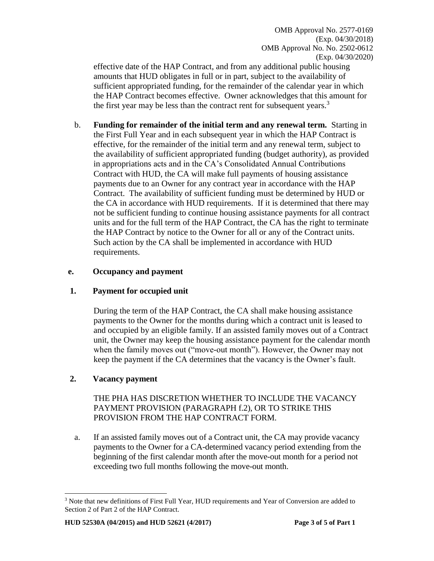OMB Approval No. 2577-0169 (Exp. 04/30/2018) OMB Approval No. No. 2502-0612 (Exp. 04/30/2020)

effective date of the HAP Contract, and from any additional public housing amounts that HUD obligates in full or in part, subject to the availability of sufficient appropriated funding, for the remainder of the calendar year in which the HAP Contract becomes effective. Owner acknowledges that this amount for the first year may be less than the contract rent for subsequent years.<sup>3</sup>

b. **Funding for remainder of the initial term and any renewal term.** Starting in the First Full Year and in each subsequent year in which the HAP Contract is effective, for the remainder of the initial term and any renewal term, subject to the availability of sufficient appropriated funding (budget authority), as provided in appropriations acts and in the CA's Consolidated Annual Contributions Contract with HUD, the CA will make full payments of housing assistance payments due to an Owner for any contract year in accordance with the HAP Contract. The availability of sufficient funding must be determined by HUD or the CA in accordance with HUD requirements. If it is determined that there may not be sufficient funding to continue housing assistance payments for all contract units and for the full term of the HAP Contract, the CA has the right to terminate the HAP Contract by notice to the Owner for all or any of the Contract units. Such action by the CA shall be implemented in accordance with HUD requirements.

## **e. Occupancy and payment**

### **1. Payment for occupied unit**

During the term of the HAP Contract, the CA shall make housing assistance payments to the Owner for the months during which a contract unit is leased to and occupied by an eligible family. If an assisted family moves out of a Contract unit, the Owner may keep the housing assistance payment for the calendar month when the family moves out ("move-out month"). However, the Owner may not keep the payment if the CA determines that the vacancy is the Owner's fault.

# **2. Vacancy payment**

 $\overline{a}$ 

THE PHA HAS DISCRETION WHETHER TO INCLUDE THE VACANCY PAYMENT PROVISION (PARAGRAPH f.2), OR TO STRIKE THIS PROVISION FROM THE HAP CONTRACT FORM.

a. If an assisted family moves out of a Contract unit, the CA may provide vacancy payments to the Owner for a CA-determined vacancy period extending from the beginning of the first calendar month after the move-out month for a period not exceeding two full months following the move-out month.

<sup>&</sup>lt;sup>3</sup> Note that new definitions of First Full Year, HUD requirements and Year of Conversion are added to Section 2 of Part 2 of the HAP Contract.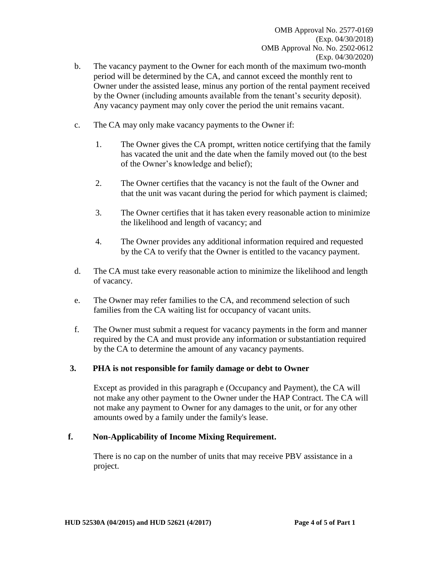- b. The vacancy payment to the Owner for each month of the maximum two-month period will be determined by the CA, and cannot exceed the monthly rent to Owner under the assisted lease, minus any portion of the rental payment received by the Owner (including amounts available from the tenant's security deposit). Any vacancy payment may only cover the period the unit remains vacant.
- c. The CA may only make vacancy payments to the Owner if:
	- 1. The Owner gives the CA prompt, written notice certifying that the family has vacated the unit and the date when the family moved out (to the best of the Owner's knowledge and belief);
	- 2. The Owner certifies that the vacancy is not the fault of the Owner and that the unit was vacant during the period for which payment is claimed;
	- 3. The Owner certifies that it has taken every reasonable action to minimize the likelihood and length of vacancy; and
	- 4. The Owner provides any additional information required and requested by the CA to verify that the Owner is entitled to the vacancy payment.
- d. The CA must take every reasonable action to minimize the likelihood and length of vacancy.
- e. The Owner may refer families to the CA, and recommend selection of such families from the CA waiting list for occupancy of vacant units.
- f. The Owner must submit a request for vacancy payments in the form and manner required by the CA and must provide any information or substantiation required by the CA to determine the amount of any vacancy payments.

# **3. PHA is not responsible for family damage or debt to Owner**

Except as provided in this paragraph e (Occupancy and Payment), the CA will not make any other payment to the Owner under the HAP Contract. The CA will not make any payment to Owner for any damages to the unit, or for any other amounts owed by a family under the family's lease.

### **f. Non-Applicability of Income Mixing Requirement.**

There is no cap on the number of units that may receive PBV assistance in a project.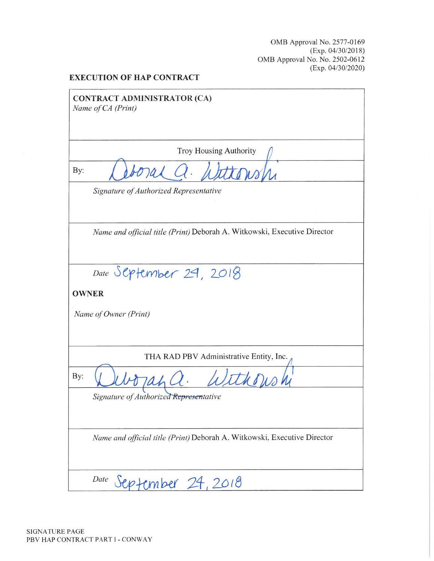OMB Approval No. 2577-0169 (Exp. 04/30/2018) OMB Approval No. No. 2502-0612  $(Exp. 04/30/2020)$ 

#### **EXECUTION OF HAP CONTRACT**

**CONTRACT ADMINISTRATOR (CA)** Name of CA (Print)

**Troy Housing Authority** 

By:

Signature of Authorized Representative

Name and official title (Print) Deborah A. Witkowski, Executive Director

Date September 29, 2018

**OWNER** 

Name of Owner (Print)

THA RAD PBV Administrative Entity, Inc.

By:

Signature of Authorized Representative

Name and official title (Print) Deborah A. Witkowski, Executive Director

Date September 24, 2018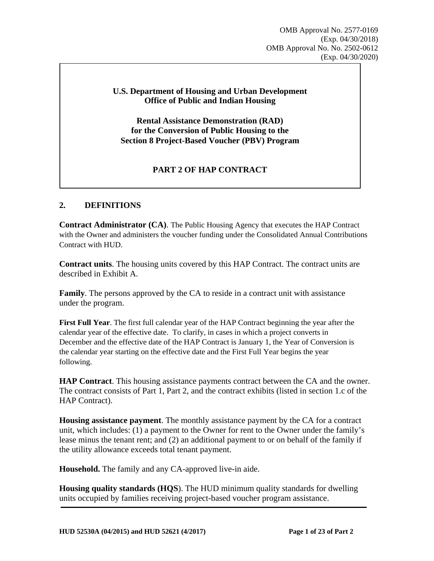### **U.S. Department of Housing and Urban Development Office of Public and Indian Housing**

**Rental Assistance Demonstration (RAD) for the Conversion of Public Housing to the Section 8 Project-Based Voucher (PBV) Program** 

# **PART 2 OF HAP CONTRACT**

## **2. DEFINITIONS**

**Contract Administrator (CA)**. The Public Housing Agency that executes the HAP Contract with the Owner and administers the voucher funding under the Consolidated Annual Contributions Contract with HUD.

**Contract units**. The housing units covered by this HAP Contract. The contract units are described in Exhibit A.

**Family**. The persons approved by the CA to reside in a contract unit with assistance under the program.

**First Full Year**. The first full calendar year of the HAP Contract beginning the year after the calendar year of the effective date. To clarify, in cases in which a project converts in December and the effective date of the HAP Contract is January 1, the Year of Conversion is the calendar year starting on the effective date and the First Full Year begins the year following.

**HAP Contract**. This housing assistance payments contract between the CA and the owner. The contract consists of Part 1, Part 2, and the contract exhibits (listed in section 1.c of the HAP Contract).

**Housing assistance payment**. The monthly assistance payment by the CA for a contract unit, which includes: (1) a payment to the Owner for rent to the Owner under the family's lease minus the tenant rent; and (2) an additional payment to or on behalf of the family if the utility allowance exceeds total tenant payment.

**Household.** The family and any CA-approved live-in aide.

**Housing quality standards (HQS**). The HUD minimum quality standards for dwelling units occupied by families receiving project-based voucher program assistance.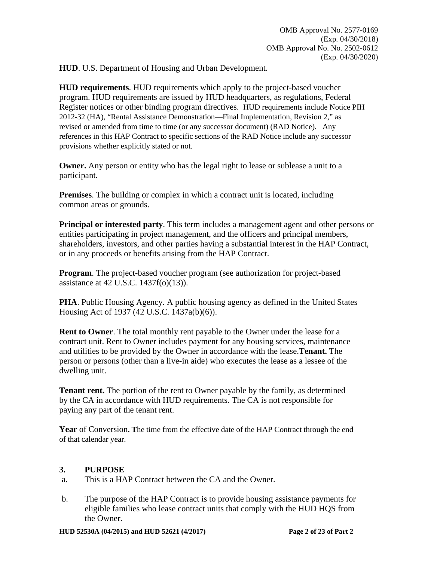**HUD**. U.S. Department of Housing and Urban Development.

**HUD requirements**. HUD requirements which apply to the project-based voucher program. HUD requirements are issued by HUD headquarters, as regulations, Federal Register notices or other binding program directives. HUD requirements include Notice PIH 2012-32 (HA), "Rental Assistance Demonstration—Final Implementation, Revision 2," as revised or amended from time to time (or any successor document) (RAD Notice). Any references in this HAP Contract to specific sections of the RAD Notice include any successor provisions whether explicitly stated or not.

**Owner.** Any person or entity who has the legal right to lease or sublease a unit to a participant.

**Premises**. The building or complex in which a contract unit is located, including common areas or grounds.

**Principal or interested party**. This term includes a management agent and other persons or entities participating in project management, and the officers and principal members, shareholders, investors, and other parties having a substantial interest in the HAP Contract, or in any proceeds or benefits arising from the HAP Contract.

**Program**. The project-based voucher program (see authorization for project-based assistance at 42 U.S.C. 1437f(o)(13)).

**PHA**. Public Housing Agency. A public housing agency as defined in the United States Housing Act of 1937 (42 U.S.C. 1437a(b)(6)).

**Rent to Owner**. The total monthly rent payable to the Owner under the lease for a contract unit. Rent to Owner includes payment for any housing services, maintenance and utilities to be provided by the Owner in accordance with the lease.**Tenant.** The person or persons (other than a live-in aide) who executes the lease as a lessee of the dwelling unit.

**Tenant rent.** The portion of the rent to Owner payable by the family, as determined by the CA in accordance with HUD requirements. The CA is not responsible for paying any part of the tenant rent.

**Year** of Conversion**. T**he time from the effective date of the HAP Contract through the end of that calendar year.

# **3. PURPOSE**

- a. This is a HAP Contract between the CA and the Owner.
- b. The purpose of the HAP Contract is to provide housing assistance payments for eligible families who lease contract units that comply with the HUD HQS from the Owner.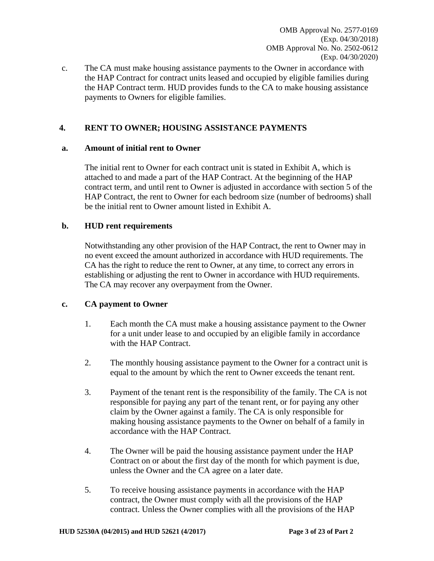c. The CA must make housing assistance payments to the Owner in accordance with the HAP Contract for contract units leased and occupied by eligible families during the HAP Contract term. HUD provides funds to the CA to make housing assistance payments to Owners for eligible families.

## **4. RENT TO OWNER; HOUSING ASSISTANCE PAYMENTS**

### **a. Amount of initial rent to Owner**

The initial rent to Owner for each contract unit is stated in Exhibit A, which is attached to and made a part of the HAP Contract. At the beginning of the HAP contract term, and until rent to Owner is adjusted in accordance with section 5 of the HAP Contract, the rent to Owner for each bedroom size (number of bedrooms) shall be the initial rent to Owner amount listed in Exhibit A.

### **b. HUD rent requirements**

Notwithstanding any other provision of the HAP Contract, the rent to Owner may in no event exceed the amount authorized in accordance with HUD requirements. The CA has the right to reduce the rent to Owner, at any time, to correct any errors in establishing or adjusting the rent to Owner in accordance with HUD requirements. The CA may recover any overpayment from the Owner.

### **c. CA payment to Owner**

- 1. Each month the CA must make a housing assistance payment to the Owner for a unit under lease to and occupied by an eligible family in accordance with the HAP Contract.
- 2. The monthly housing assistance payment to the Owner for a contract unit is equal to the amount by which the rent to Owner exceeds the tenant rent.
- 3. Payment of the tenant rent is the responsibility of the family. The CA is not responsible for paying any part of the tenant rent, or for paying any other claim by the Owner against a family. The CA is only responsible for making housing assistance payments to the Owner on behalf of a family in accordance with the HAP Contract.
- 4. The Owner will be paid the housing assistance payment under the HAP Contract on or about the first day of the month for which payment is due, unless the Owner and the CA agree on a later date.
- 5. To receive housing assistance payments in accordance with the HAP contract, the Owner must comply with all the provisions of the HAP contract. Unless the Owner complies with all the provisions of the HAP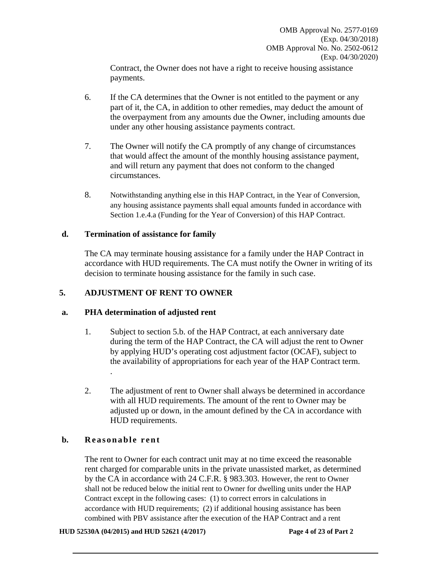Contract, the Owner does not have a right to receive housing assistance payments.

- 6. If the CA determines that the Owner is not entitled to the payment or any part of it, the CA, in addition to other remedies, may deduct the amount of the overpayment from any amounts due the Owner, including amounts due under any other housing assistance payments contract.
- 7. The Owner will notify the CA promptly of any change of circumstances that would affect the amount of the monthly housing assistance payment, and will return any payment that does not conform to the changed circumstances.
- 8. Notwithstanding anything else in this HAP Contract, in the Year of Conversion, any housing assistance payments shall equal amounts funded in accordance with Section 1.e.4.a (Funding for the Year of Conversion) of this HAP Contract.

### **d. Termination of assistance for family**

The CA may terminate housing assistance for a family under the HAP Contract in accordance with HUD requirements. The CA must notify the Owner in writing of its decision to terminate housing assistance for the family in such case.

# **5. ADJUSTMENT OF RENT TO OWNER**

### **a. PHA determination of adjusted rent**

- 1. Subject to section 5.b. of the HAP Contract, at each anniversary date during the term of the HAP Contract, the CA will adjust the rent to Owner by applying HUD's operating cost adjustment factor (OCAF), subject to the availability of appropriations for each year of the HAP Contract term. .
- 2. The adjustment of rent to Owner shall always be determined in accordance with all HUD requirements. The amount of the rent to Owner may be adjusted up or down, in the amount defined by the CA in accordance with HUD requirements.

# **b. Reasonable rent**

The rent to Owner for each contract unit may at no time exceed the reasonable rent charged for comparable units in the private unassisted market, as determined by the CA in accordance with 24 C.F.R. § 983.303. However, the rent to Owner shall not be reduced below the initial rent to Owner for dwelling units under the HAP Contract except in the following cases: (1) to correct errors in calculations in accordance with HUD requirements; (2) if additional housing assistance has been combined with PBV assistance after the execution of the HAP Contract and a rent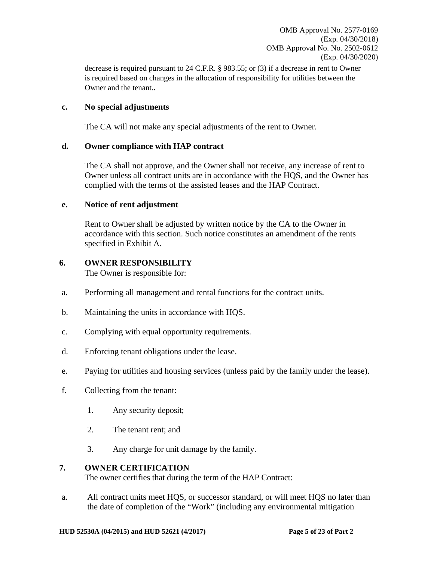decrease is required pursuant to 24 C.F.R. § 983.55; or (3) if a decrease in rent to Owner is required based on changes in the allocation of responsibility for utilities between the Owner and the tenant..

### **c. No special adjustments**

The CA will not make any special adjustments of the rent to Owner.

### **d. Owner compliance with HAP contract**

The CA shall not approve, and the Owner shall not receive, any increase of rent to Owner unless all contract units are in accordance with the HQS, and the Owner has complied with the terms of the assisted leases and the HAP Contract.

### **e. Notice of rent adjustment**

Rent to Owner shall be adjusted by written notice by the CA to the Owner in accordance with this section. Such notice constitutes an amendment of the rents specified in Exhibit A.

### **6. OWNER RESPONSIBILITY**

The Owner is responsible for:

- a. Performing all management and rental functions for the contract units.
- b. Maintaining the units in accordance with HQS.
- c. Complying with equal opportunity requirements.
- d. Enforcing tenant obligations under the lease.
- e. Paying for utilities and housing services (unless paid by the family under the lease).
- f. Collecting from the tenant:
	- 1. Any security deposit;
	- 2. The tenant rent; and
	- 3. Any charge for unit damage by the family.

### **7. OWNER CERTIFICATION**

The owner certifies that during the term of the HAP Contract:

a. All contract units meet HQS, or successor standard, or will meet HQS no later than the date of completion of the "Work" (including any environmental mitigation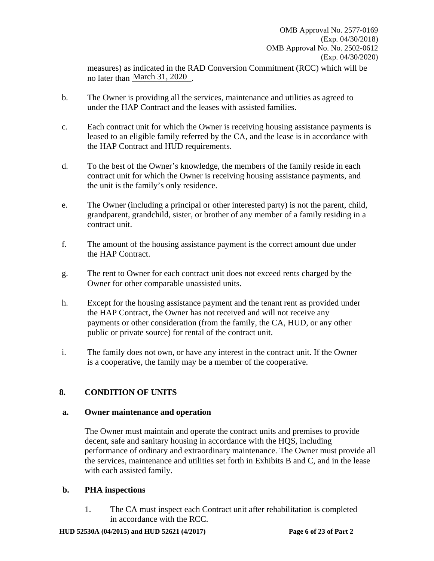measures) as indicated in the RAD Conversion Commitment (RCC) which will be no later than March 31, 2020.

- b. The Owner is providing all the services, maintenance and utilities as agreed to under the HAP Contract and the leases with assisted families.
- c. Each contract unit for which the Owner is receiving housing assistance payments is leased to an eligible family referred by the CA, and the lease is in accordance with the HAP Contract and HUD requirements.
- d. To the best of the Owner's knowledge, the members of the family reside in each contract unit for which the Owner is receiving housing assistance payments, and the unit is the family's only residence.
- e. The Owner (including a principal or other interested party) is not the parent, child, grandparent, grandchild, sister, or brother of any member of a family residing in a contract unit.
- f. The amount of the housing assistance payment is the correct amount due under the HAP Contract.
- g. The rent to Owner for each contract unit does not exceed rents charged by the Owner for other comparable unassisted units.
- h. Except for the housing assistance payment and the tenant rent as provided under the HAP Contract, the Owner has not received and will not receive any payments or other consideration (from the family, the CA, HUD, or any other public or private source) for rental of the contract unit.
- i. The family does not own, or have any interest in the contract unit. If the Owner is a cooperative, the family may be a member of the cooperative.

# **8. CONDITION OF UNITS**

### **a. Owner maintenance and operation**

The Owner must maintain and operate the contract units and premises to provide decent, safe and sanitary housing in accordance with the HQS, including performance of ordinary and extraordinary maintenance. The Owner must provide all the services, maintenance and utilities set forth in Exhibits B and C, and in the lease with each assisted family.

### **b. PHA inspections**

1. The CA must inspect each Contract unit after rehabilitation is completed in accordance with the RCC.

#### **HUD 52530A (04/2015) and HUD 52621 (4/2017) Page 6 of 23 of Part 2**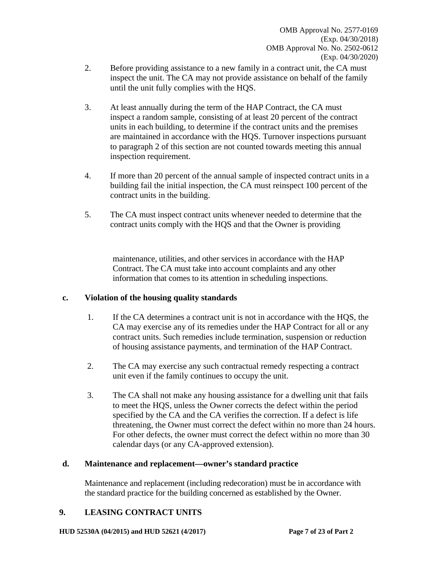- 2. Before providing assistance to a new family in a contract unit, the CA must inspect the unit. The CA may not provide assistance on behalf of the family until the unit fully complies with the HQS.
- 3. At least annually during the term of the HAP Contract, the CA must inspect a random sample, consisting of at least 20 percent of the contract units in each building, to determine if the contract units and the premises are maintained in accordance with the HQS. Turnover inspections pursuant to paragraph 2 of this section are not counted towards meeting this annual inspection requirement.
- 4. If more than 20 percent of the annual sample of inspected contract units in a building fail the initial inspection, the CA must reinspect 100 percent of the contract units in the building.
- 5. The CA must inspect contract units whenever needed to determine that the contract units comply with the HQS and that the Owner is providing

maintenance, utilities, and other services in accordance with the HAP Contract. The CA must take into account complaints and any other information that comes to its attention in scheduling inspections.

# **c. Violation of the housing quality standards**

- 1. If the CA determines a contract unit is not in accordance with the HQS, the CA may exercise any of its remedies under the HAP Contract for all or any contract units. Such remedies include termination, suspension or reduction of housing assistance payments, and termination of the HAP Contract.
- 2. The CA may exercise any such contractual remedy respecting a contract unit even if the family continues to occupy the unit.
- 3. The CA shall not make any housing assistance for a dwelling unit that fails to meet the HQS, unless the Owner corrects the defect within the period specified by the CA and the CA verifies the correction. If a defect is life threatening, the Owner must correct the defect within no more than 24 hours. For other defects, the owner must correct the defect within no more than 30 calendar days (or any CA-approved extension).

# **d. Maintenance and replacement—owner's standard practice**

Maintenance and replacement (including redecoration) must be in accordance with the standard practice for the building concerned as established by the Owner.

# **9. LEASING CONTRACT UNITS**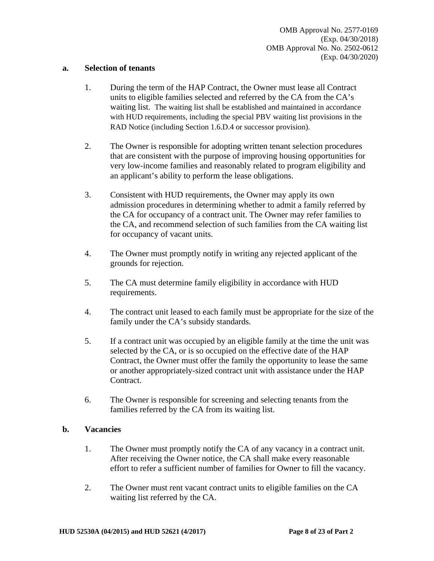#### **a. Selection of tenants**

- 1. During the term of the HAP Contract, the Owner must lease all Contract units to eligible families selected and referred by the CA from the CA's waiting list. The waiting list shall be established and maintained in accordance with HUD requirements, including the special PBV waiting list provisions in the RAD Notice (including Section 1.6.D.4 or successor provision).
- 2. The Owner is responsible for adopting written tenant selection procedures that are consistent with the purpose of improving housing opportunities for very low-income families and reasonably related to program eligibility and an applicant's ability to perform the lease obligations.
- 3. Consistent with HUD requirements, the Owner may apply its own admission procedures in determining whether to admit a family referred by the CA for occupancy of a contract unit. The Owner may refer families to the CA, and recommend selection of such families from the CA waiting list for occupancy of vacant units.
- 4. The Owner must promptly notify in writing any rejected applicant of the grounds for rejection.
- 5. The CA must determine family eligibility in accordance with HUD requirements.
- 4. The contract unit leased to each family must be appropriate for the size of the family under the CA's subsidy standards.
- 5. If a contract unit was occupied by an eligible family at the time the unit was selected by the CA, or is so occupied on the effective date of the HAP Contract, the Owner must offer the family the opportunity to lease the same or another appropriately-sized contract unit with assistance under the HAP Contract.
- 6. The Owner is responsible for screening and selecting tenants from the families referred by the CA from its waiting list.

### **b. Vacancies**

- 1. The Owner must promptly notify the CA of any vacancy in a contract unit. After receiving the Owner notice, the CA shall make every reasonable effort to refer a sufficient number of families for Owner to fill the vacancy.
- 2. The Owner must rent vacant contract units to eligible families on the CA waiting list referred by the CA.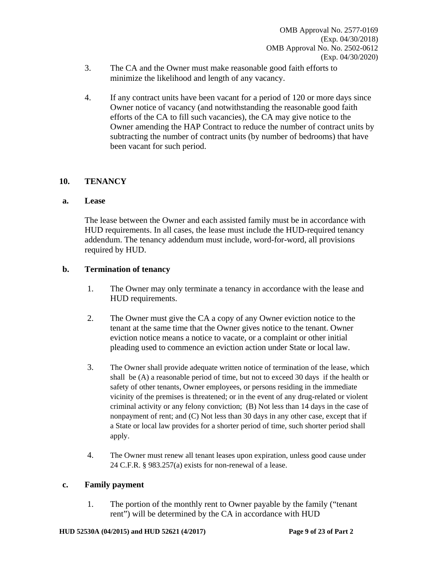- 3. The CA and the Owner must make reasonable good faith efforts to minimize the likelihood and length of any vacancy.
- 4. If any contract units have been vacant for a period of 120 or more days since Owner notice of vacancy (and notwithstanding the reasonable good faith efforts of the CA to fill such vacancies), the CA may give notice to the Owner amending the HAP Contract to reduce the number of contract units by subtracting the number of contract units (by number of bedrooms) that have been vacant for such period.

## **10. TENANCY**

### **a. Lease**

The lease between the Owner and each assisted family must be in accordance with HUD requirements. In all cases, the lease must include the HUD-required tenancy addendum. The tenancy addendum must include, word-for-word, all provisions required by HUD.

### **b. Termination of tenancy**

- 1. The Owner may only terminate a tenancy in accordance with the lease and HUD requirements.
- 2. The Owner must give the CA a copy of any Owner eviction notice to the tenant at the same time that the Owner gives notice to the tenant. Owner eviction notice means a notice to vacate, or a complaint or other initial pleading used to commence an eviction action under State or local law.
- 3. The Owner shall provide adequate written notice of termination of the lease, which shall be (A) a reasonable period of time, but not to exceed 30 days if the health or safety of other tenants, Owner employees, or persons residing in the immediate vicinity of the premises is threatened; or in the event of any drug-related or violent criminal activity or any felony conviction; (B) Not less than 14 days in the case of nonpayment of rent; and (C) Not less than 30 days in any other case, except that if a State or local law provides for a shorter period of time, such shorter period shall apply.
- 4. The Owner must renew all tenant leases upon expiration, unless good cause under 24 C.F.R. § 983.257(a) exists for non-renewal of a lease.

### **c. Family payment**

1. The portion of the monthly rent to Owner payable by the family ("tenant rent") will be determined by the CA in accordance with HUD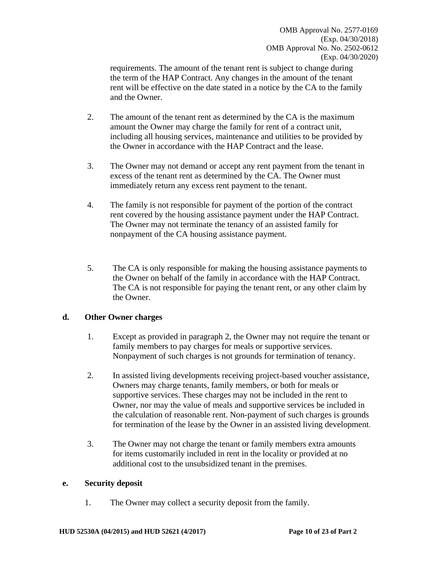requirements. The amount of the tenant rent is subject to change during the term of the HAP Contract. Any changes in the amount of the tenant rent will be effective on the date stated in a notice by the CA to the family and the Owner.

- 2. The amount of the tenant rent as determined by the CA is the maximum amount the Owner may charge the family for rent of a contract unit, including all housing services, maintenance and utilities to be provided by the Owner in accordance with the HAP Contract and the lease.
- 3. The Owner may not demand or accept any rent payment from the tenant in excess of the tenant rent as determined by the CA. The Owner must immediately return any excess rent payment to the tenant.
- 4. The family is not responsible for payment of the portion of the contract rent covered by the housing assistance payment under the HAP Contract. The Owner may not terminate the tenancy of an assisted family for nonpayment of the CA housing assistance payment.
- 5. The CA is only responsible for making the housing assistance payments to the Owner on behalf of the family in accordance with the HAP Contract. The CA is not responsible for paying the tenant rent, or any other claim by the Owner.

### **d. Other Owner charges**

- 1. Except as provided in paragraph 2, the Owner may not require the tenant or family members to pay charges for meals or supportive services. Nonpayment of such charges is not grounds for termination of tenancy.
- 2. In assisted living developments receiving project-based voucher assistance, Owners may charge tenants, family members, or both for meals or supportive services. These charges may not be included in the rent to Owner, nor may the value of meals and supportive services be included in the calculation of reasonable rent. Non-payment of such charges is grounds for termination of the lease by the Owner in an assisted living development.
- 3. The Owner may not charge the tenant or family members extra amounts for items customarily included in rent in the locality or provided at no additional cost to the unsubsidized tenant in the premises.

### **e. Security deposit**

1. The Owner may collect a security deposit from the family.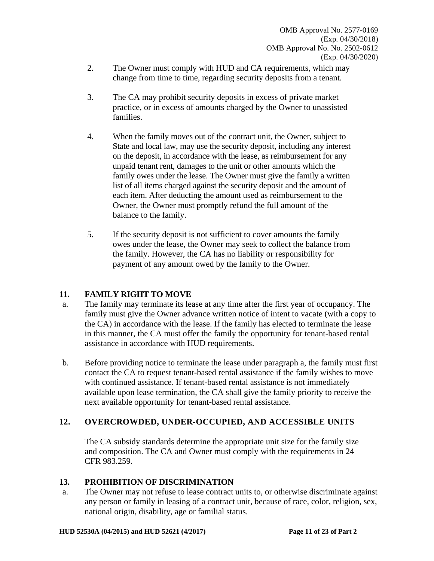- 2. The Owner must comply with HUD and CA requirements, which may change from time to time, regarding security deposits from a tenant.
- 3. The CA may prohibit security deposits in excess of private market practice, or in excess of amounts charged by the Owner to unassisted families.
- 4. When the family moves out of the contract unit, the Owner, subject to State and local law, may use the security deposit, including any interest on the deposit, in accordance with the lease, as reimbursement for any unpaid tenant rent, damages to the unit or other amounts which the family owes under the lease. The Owner must give the family a written list of all items charged against the security deposit and the amount of each item. After deducting the amount used as reimbursement to the Owner, the Owner must promptly refund the full amount of the balance to the family.
- 5. If the security deposit is not sufficient to cover amounts the family owes under the lease, the Owner may seek to collect the balance from the family. However, the CA has no liability or responsibility for payment of any amount owed by the family to the Owner.

# **11. FAMILY RIGHT TO MOVE**

- a. The family may terminate its lease at any time after the first year of occupancy. The family must give the Owner advance written notice of intent to vacate (with a copy to the CA) in accordance with the lease. If the family has elected to terminate the lease in this manner, the CA must offer the family the opportunity for tenant-based rental assistance in accordance with HUD requirements.
- b. Before providing notice to terminate the lease under paragraph a, the family must first contact the CA to request tenant-based rental assistance if the family wishes to move with continued assistance. If tenant-based rental assistance is not immediately available upon lease termination, the CA shall give the family priority to receive the next available opportunity for tenant-based rental assistance.

# **12. OVERCROWDED, UNDER-OCCUPIED, AND ACCESSIBLE UNITS**

The CA subsidy standards determine the appropriate unit size for the family size and composition. The CA and Owner must comply with the requirements in 24 CFR 983.259.

# **13. PROHIBITION OF DISCRIMINATION**

a. The Owner may not refuse to lease contract units to, or otherwise discriminate against any person or family in leasing of a contract unit, because of race, color, religion, sex, national origin, disability, age or familial status.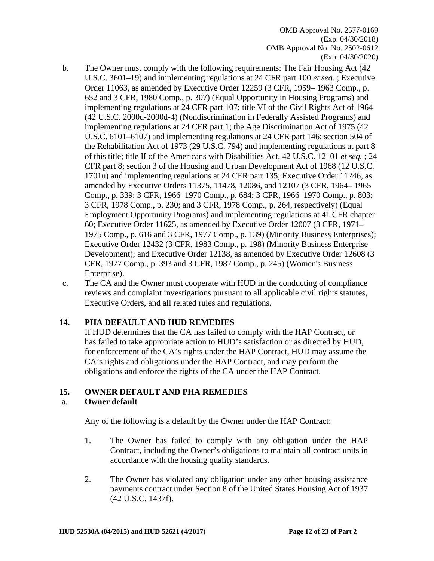- b. The Owner must comply with the following requirements: The Fair Housing Act (42 U.S.C. 3601–19) and implementing regulations at 24 CFR part 100 *et seq.* ; Executive Order 11063, as amended by Executive Order 12259 (3 CFR, 1959– 1963 Comp., p. 652 and 3 CFR, 1980 Comp., p. 307) (Equal Opportunity in Housing Programs) and implementing regulations at 24 CFR part 107; title VI of the Civil Rights Act of 1964 (42 U.S.C. 2000d-2000d-4) (Nondiscrimination in Federally Assisted Programs) and implementing regulations at 24 CFR part 1; the Age Discrimination Act of 1975 (42 U.S.C. 6101–6107) and implementing regulations at 24 CFR part 146; section 504 of the Rehabilitation Act of 1973 (29 U.S.C. 794) and implementing regulations at part 8 of this title; title II of the Americans with Disabilities Act, 42 U.S.C. 12101 *et seq.* ; 24 CFR part 8; section 3 of the Housing and Urban Development Act of 1968 (12 U.S.C. 1701u) and implementing regulations at 24 CFR part 135; Executive Order 11246, as amended by Executive Orders 11375, 11478, 12086, and 12107 (3 CFR, 1964– 1965 Comp., p. 339; 3 CFR, 1966–1970 Comp., p. 684; 3 CFR, 1966–1970 Comp., p. 803; 3 CFR, 1978 Comp., p. 230; and 3 CFR, 1978 Comp., p. 264, respectively) (Equal Employment Opportunity Programs) and implementing regulations at 41 CFR chapter 60; Executive Order 11625, as amended by Executive Order 12007 (3 CFR, 1971– 1975 Comp., p. 616 and 3 CFR, 1977 Comp., p. 139) (Minority Business Enterprises); Executive Order 12432 (3 CFR, 1983 Comp., p. 198) (Minority Business Enterprise Development); and Executive Order 12138, as amended by Executive Order 12608 (3 CFR, 1977 Comp., p. 393 and 3 CFR, 1987 Comp., p. 245) (Women's Business Enterprise).
- c. The CA and the Owner must cooperate with HUD in the conducting of compliance reviews and complaint investigations pursuant to all applicable civil rights statutes, Executive Orders, and all related rules and regulations.

### **14. PHA DEFAULT AND HUD REMEDIES**

If HUD determines that the CA has failed to comply with the HAP Contract, or has failed to take appropriate action to HUD's satisfaction or as directed by HUD, for enforcement of the CA's rights under the HAP Contract, HUD may assume the CA's rights and obligations under the HAP Contract, and may perform the obligations and enforce the rights of the CA under the HAP Contract.

### **15. OWNER DEFAULT AND PHA REMEDIES**

### a. **Owner default**

Any of the following is a default by the Owner under the HAP Contract:

- 1. The Owner has failed to comply with any obligation under the HAP Contract, including the Owner's obligations to maintain all contract units in accordance with the housing quality standards.
- 2. The Owner has violated any obligation under any other housing assistance payments contract under Section 8 of the United States Housing Act of 1937 (42 U.S.C. 1437f).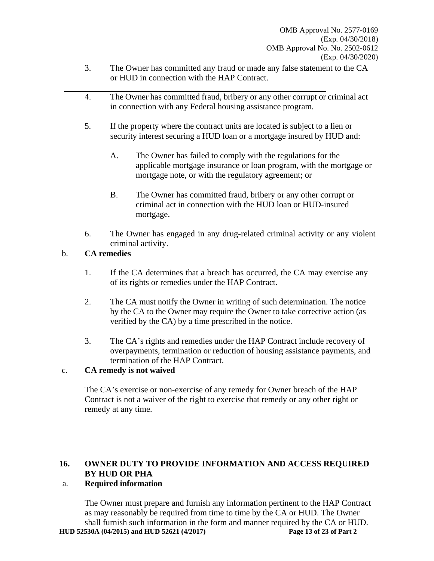- 3. The Owner has committed any fraud or made any false statement to the CA or HUD in connection with the HAP Contract.
- 4. The Owner has committed fraud, bribery or any other corrupt or criminal act in connection with any Federal housing assistance program.
- 5. If the property where the contract units are located is subject to a lien or security interest securing a HUD loan or a mortgage insured by HUD and:
	- A. The Owner has failed to comply with the regulations for the applicable mortgage insurance or loan program, with the mortgage or mortgage note, or with the regulatory agreement; or
	- B. The Owner has committed fraud, bribery or any other corrupt or criminal act in connection with the HUD loan or HUD-insured mortgage.
- 6. The Owner has engaged in any drug-related criminal activity or any violent criminal activity.

# b. **CA remedies**

- 1. If the CA determines that a breach has occurred, the CA may exercise any of its rights or remedies under the HAP Contract.
- 2. The CA must notify the Owner in writing of such determination. The notice by the CA to the Owner may require the Owner to take corrective action (as verified by the CA) by a time prescribed in the notice.
- 3. The CA's rights and remedies under the HAP Contract include recovery of overpayments, termination or reduction of housing assistance payments, and termination of the HAP Contract.

# c. **CA remedy is not waived**

The CA's exercise or non-exercise of any remedy for Owner breach of the HAP Contract is not a waiver of the right to exercise that remedy or any other right or remedy at any time.

# **16. OWNER DUTY TO PROVIDE INFORMATION AND ACCESS REQUIRED BY HUD OR PHA**

# a. **Required information**

**HUD 52530A (04/2015) and HUD 52621 (4/2017) Page 13 of 23 of Part 2**  The Owner must prepare and furnish any information pertinent to the HAP Contract as may reasonably be required from time to time by the CA or HUD. The Owner shall furnish such information in the form and manner required by the CA or HUD.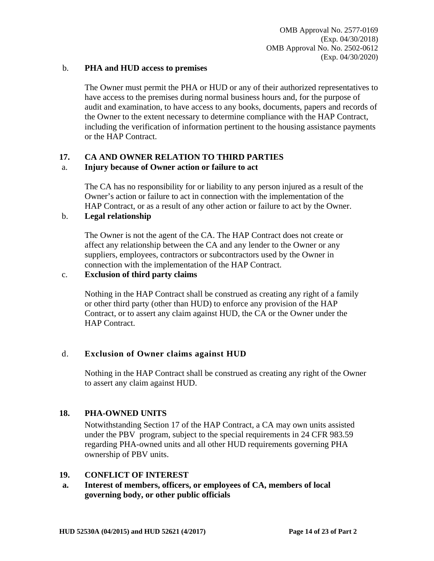### b. **PHA and HUD access to premises**

The Owner must permit the PHA or HUD or any of their authorized representatives to have access to the premises during normal business hours and, for the purpose of audit and examination, to have access to any books, documents, papers and records of the Owner to the extent necessary to determine compliance with the HAP Contract, including the verification of information pertinent to the housing assistance payments or the HAP Contract.

# **17. CA AND OWNER RELATION TO THIRD PARTIES**

### a. **Injury because of Owner action or failure to act**

The CA has no responsibility for or liability to any person injured as a result of the Owner's action or failure to act in connection with the implementation of the HAP Contract, or as a result of any other action or failure to act by the Owner.

# b. **Legal relationship**

The Owner is not the agent of the CA. The HAP Contract does not create or affect any relationship between the CA and any lender to the Owner or any suppliers, employees, contractors or subcontractors used by the Owner in connection with the implementation of the HAP Contract.

### c. **Exclusion of third party claims**

Nothing in the HAP Contract shall be construed as creating any right of a family or other third party (other than HUD) to enforce any provision of the HAP Contract, or to assert any claim against HUD, the CA or the Owner under the HAP Contract.

# d. **Exclusion of Owner claims against HUD**

Nothing in the HAP Contract shall be construed as creating any right of the Owner to assert any claim against HUD.

### **18. PHA-OWNED UNITS**

Notwithstanding Section 17 of the HAP Contract, a CA may own units assisted under the PBV program, subject to the special requirements in 24 CFR 983.59 regarding PHA-owned units and all other HUD requirements governing PHA ownership of PBV units.

### **19. CONFLICT OF INTEREST**

**a. Interest of members, officers, or employees of CA, members of local governing body, or other public officials**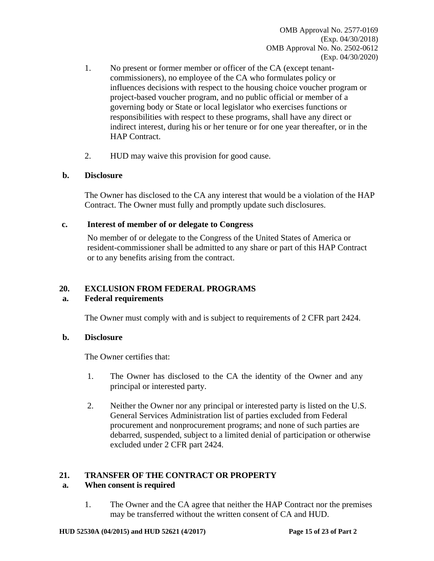- 1. No present or former member or officer of the CA (except tenantcommissioners), no employee of the CA who formulates policy or influences decisions with respect to the housing choice voucher program or project-based voucher program, and no public official or member of a governing body or State or local legislator who exercises functions or responsibilities with respect to these programs, shall have any direct or indirect interest, during his or her tenure or for one year thereafter, or in the HAP Contract.
- 2. HUD may waive this provision for good cause.

### **b. Disclosure**

The Owner has disclosed to the CA any interest that would be a violation of the HAP Contract. The Owner must fully and promptly update such disclosures.

### **c. Interest of member of or delegate to Congress**

No member of or delegate to the Congress of the United States of America or resident-commissioner shall be admitted to any share or part of this HAP Contract or to any benefits arising from the contract.

# **20. EXCLUSION FROM FEDERAL PROGRAMS**

### **a. Federal requirements**

The Owner must comply with and is subject to requirements of 2 CFR part 2424.

### **b. Disclosure**

The Owner certifies that:

- 1. The Owner has disclosed to the CA the identity of the Owner and any principal or interested party.
- 2. Neither the Owner nor any principal or interested party is listed on the U.S. General Services Administration list of parties excluded from Federal procurement and nonprocurement programs; and none of such parties are debarred, suspended, subject to a limited denial of participation or otherwise excluded under 2 CFR part 2424.

# **21. TRANSFER OF THE CONTRACT OR PROPERTY**

### **a. When consent is required**

1. The Owner and the CA agree that neither the HAP Contract nor the premises may be transferred without the written consent of CA and HUD.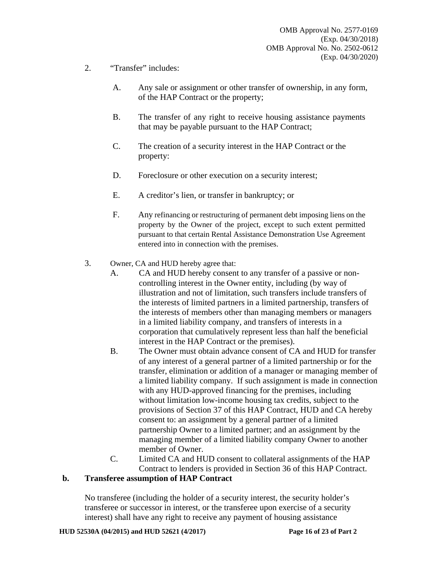- 2. "Transfer" includes:
	- A. Any sale or assignment or other transfer of ownership, in any form, of the HAP Contract or the property;
	- B. The transfer of any right to receive housing assistance payments that may be payable pursuant to the HAP Contract;
	- C. The creation of a security interest in the HAP Contract or the property:
	- D. Foreclosure or other execution on a security interest;
	- E. A creditor's lien, or transfer in bankruptcy; or
	- F. Any refinancing or restructuring of permanent debt imposing liens on the property by the Owner of the project, except to such extent permitted pursuant to that certain Rental Assistance Demonstration Use Agreement entered into in connection with the premises.
- 3. Owner, CA and HUD hereby agree that:
	- A. CA and HUD hereby consent to any transfer of a passive or noncontrolling interest in the Owner entity, including (by way of illustration and not of limitation, such transfers include transfers of the interests of limited partners in a limited partnership, transfers of the interests of members other than managing members or managers in a limited liability company, and transfers of interests in a corporation that cumulatively represent less than half the beneficial interest in the HAP Contract or the premises).
	- B. The Owner must obtain advance consent of CA and HUD for transfer of any interest of a general partner of a limited partnership or for the transfer, elimination or addition of a manager or managing member of a limited liability company. If such assignment is made in connection with any HUD-approved financing for the premises, including without limitation low-income housing tax credits, subject to the provisions of Section 37 of this HAP Contract, HUD and CA hereby consent to: an assignment by a general partner of a limited partnership Owner to a limited partner; and an assignment by the managing member of a limited liability company Owner to another member of Owner.
	- C. Limited CA and HUD consent to collateral assignments of the HAP Contract to lenders is provided in Section 36 of this HAP Contract.

#### **b. Transferee assumption of HAP Contract**

No transferee (including the holder of a security interest, the security holder's transferee or successor in interest, or the transferee upon exercise of a security interest) shall have any right to receive any payment of housing assistance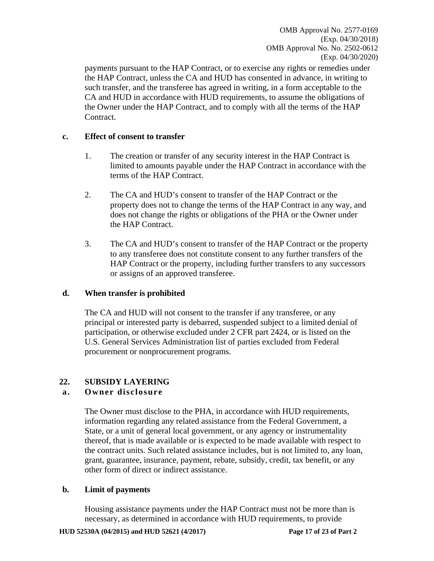OMB Approval No. 2577-0169 (Exp. 04/30/2018) OMB Approval No. No. 2502-0612 (Exp. 04/30/2020)

payments pursuant to the HAP Contract, or to exercise any rights or remedies under the HAP Contract, unless the CA and HUD has consented in advance, in writing to such transfer, and the transferee has agreed in writing, in a form acceptable to the CA and HUD in accordance with HUD requirements, to assume the obligations of the Owner under the HAP Contract, and to comply with all the terms of the HAP Contract.

### **c. Effect of consent to transfer**

- 1. The creation or transfer of any security interest in the HAP Contract is limited to amounts payable under the HAP Contract in accordance with the terms of the HAP Contract.
- 2. The CA and HUD's consent to transfer of the HAP Contract or the property does not to change the terms of the HAP Contract in any way, and does not change the rights or obligations of the PHA or the Owner under the HAP Contract.
- 3. The CA and HUD's consent to transfer of the HAP Contract or the property to any transferee does not constitute consent to any further transfers of the HAP Contract or the property, including further transfers to any successors or assigns of an approved transferee.

### **d. When transfer is prohibited**

The CA and HUD will not consent to the transfer if any transferee, or any principal or interested party is debarred, suspended subject to a limited denial of participation, or otherwise excluded under 2 CFR part 2424, or is listed on the U.S. General Services Administration list of parties excluded from Federal procurement or nonprocurement programs.

# **22. SUBSIDY LAYERING**

### **a. Owner disclosure**

The Owner must disclose to the PHA, in accordance with HUD requirements, information regarding any related assistance from the Federal Government, a State, or a unit of general local government, or any agency or instrumentality thereof, that is made available or is expected to be made available with respect to the contract units. Such related assistance includes, but is not limited to, any loan, grant, guarantee, insurance, payment, rebate, subsidy, credit, tax benefit, or any other form of direct or indirect assistance.

### **b. Limit of payments**

Housing assistance payments under the HAP Contract must not be more than is necessary, as determined in accordance with HUD requirements, to provide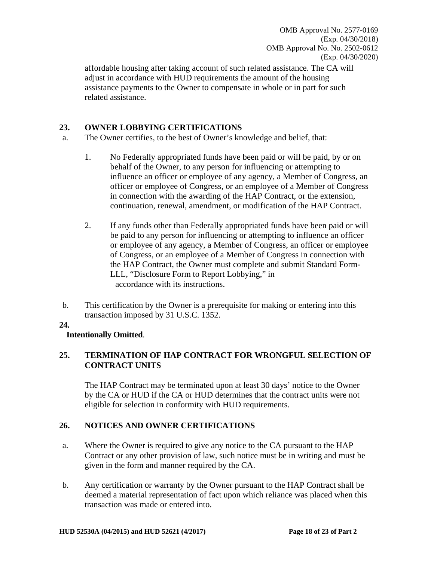OMB Approval No. 2577-0169 (Exp. 04/30/2018) OMB Approval No. No. 2502-0612 (Exp. 04/30/2020)

affordable housing after taking account of such related assistance. The CA will adjust in accordance with HUD requirements the amount of the housing assistance payments to the Owner to compensate in whole or in part for such related assistance.

### **23. OWNER LOBBYING CERTIFICATIONS**

- a. The Owner certifies, to the best of Owner's knowledge and belief, that:
	- 1. No Federally appropriated funds have been paid or will be paid, by or on behalf of the Owner, to any person for influencing or attempting to influence an officer or employee of any agency, a Member of Congress, an officer or employee of Congress, or an employee of a Member of Congress in connection with the awarding of the HAP Contract, or the extension, continuation, renewal, amendment, or modification of the HAP Contract.
	- 2. If any funds other than Federally appropriated funds have been paid or will be paid to any person for influencing or attempting to influence an officer or employee of any agency, a Member of Congress, an officer or employee of Congress, or an employee of a Member of Congress in connection with the HAP Contract, the Owner must complete and submit Standard Form-LLL, "Disclosure Form to Report Lobbying," in accordance with its instructions.
- b. This certification by the Owner is a prerequisite for making or entering into this transaction imposed by 31 U.S.C. 1352.

### **24.**

### **Intentionally Omitted**.

# **25. TERMINATION OF HAP CONTRACT FOR WRONGFUL SELECTION OF CONTRACT UNITS**

The HAP Contract may be terminated upon at least 30 days' notice to the Owner by the CA or HUD if the CA or HUD determines that the contract units were not eligible for selection in conformity with HUD requirements.

# **26. NOTICES AND OWNER CERTIFICATIONS**

- a. Where the Owner is required to give any notice to the CA pursuant to the HAP Contract or any other provision of law, such notice must be in writing and must be given in the form and manner required by the CA.
- b. Any certification or warranty by the Owner pursuant to the HAP Contract shall be deemed a material representation of fact upon which reliance was placed when this transaction was made or entered into.

#### **HUD 52530A (04/2015) and HUD 52621 (4/2017) Page 18 of 23 of Part 2**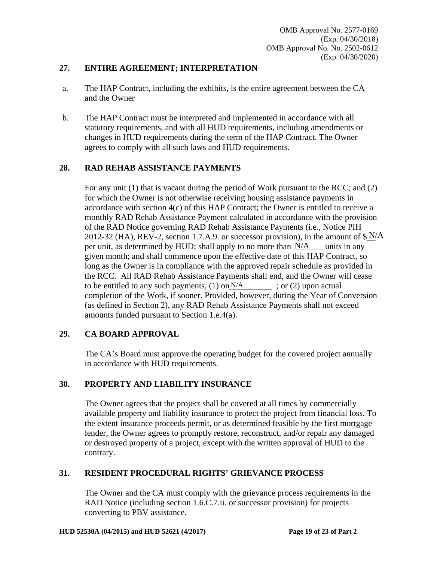### **27. ENTIRE AGREEMENT; INTERPRETATION**

- a. The HAP Contract, including the exhibits, is the entire agreement between the CA and the Owner
- b. The HAP Contract must be interpreted and implemented in accordance with all statutory requirements, and with all HUD requirements, including amendments or changes in HUD requirements during the term of the HAP Contract. The Owner agrees to comply with all such laws and HUD requirements.

### **28. RAD REHAB ASSISTANCE PAYMENTS**

For any unit (1) that is vacant during the period of Work pursuant to the RCC; and (2) for which the Owner is not otherwise receiving housing assistance payments in accordance with section 4(c) of this HAP Contract; the Owner is entitled to receive a monthly RAD Rehab Assistance Payment calculated in accordance with the provision of the RAD Notice governing RAD Rehab Assistance Payments (i.e., Notice PIH 2012-32 (HA), REV-2, section 1.7.A.9. or successor provision), in the amount of  $\frac{\mathbf{s} \cdot \mathbf{N}}{A}$ per unit, as determined by HUD; shall apply to no more than  $N/A$  units in any given month; and shall commence upon the effective date of this HAP Contract, so long as the Owner is in compliance with the approved repair schedule as provided in the RCC. All RAD Rehab Assistance Payments shall end, and the Owner will cease to be entitled to any such payments,  $(1)$  on  $N/A$  ; or  $(2)$  upon actual completion of the Work, if sooner. Provided, however, during the Year of Conversion (as defined in Section 2), any RAD Rehab Assistance Payments shall not exceed amounts funded pursuant to Section 1.e.4(a).

### **29. CA BOARD APPROVAL**

The CA's Board must approve the operating budget for the covered project annually in accordance with HUD requirements.

### **30. PROPERTY AND LIABILITY INSURANCE**

The Owner agrees that the project shall be covered at all times by commercially available property and liability insurance to protect the project from financial loss. To the extent insurance proceeds permit, or as determined feasible by the first mortgage lender, the Owner agrees to promptly restore, reconstruct, and/or repair any damaged or destroyed property of a project, except with the written approval of HUD to the contrary.

### **31. RESIDENT PROCEDURAL RIGHTS' GRIEVANCE PROCESS**

The Owner and the CA must comply with the grievance process requirements in the RAD Notice (including section 1.6.C.7.ii. or successor provision) for projects converting to PBV assistance.

#### **HUD 52530A (04/2015) and HUD 52621 (4/2017) Page 19 of 23 of Part 2**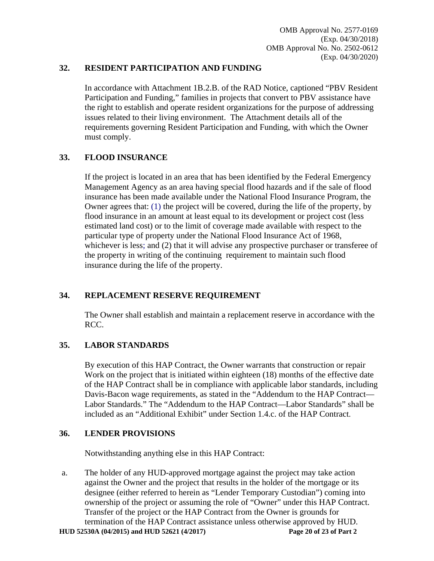## **32. RESIDENT PARTICIPATION AND FUNDING**

In accordance with Attachment 1B.2.B. of the RAD Notice, captioned "PBV Resident Participation and Funding," families in projects that convert to PBV assistance have the right to establish and operate resident organizations for the purpose of addressing issues related to their living environment. The Attachment details all of the requirements governing Resident Participation and Funding, with which the Owner must comply.

# **33. FLOOD INSURANCE**

If the project is located in an area that has been identified by the Federal Emergency Management Agency as an area having special flood hazards and if the sale of flood insurance has been made available under the National Flood Insurance Program, the Owner agrees that: (1) the project will be covered, during the life of the property, by flood insurance in an amount at least equal to its development or project cost (less estimated land cost) or to the limit of coverage made available with respect to the particular type of property under the National Flood Insurance Act of 1968, whichever is less; and (2) that it will advise any prospective purchaser or transferee of the property in writing of the continuing requirement to maintain such flood insurance during the life of the property.

# **34. REPLACEMENT RESERVE REQUIREMENT**

The Owner shall establish and maintain a replacement reserve in accordance with the RCC.

# **35. LABOR STANDARDS**

By execution of this HAP Contract, the Owner warrants that construction or repair Work on the project that is initiated within eighteen (18) months of the effective date of the HAP Contract shall be in compliance with applicable labor standards, including Davis-Bacon wage requirements, as stated in the "Addendum to the HAP Contract— Labor Standards." The "Addendum to the HAP Contract—Labor Standards" shall be included as an "Additional Exhibit" under Section 1.4.c. of the HAP Contract.

# **36. LENDER PROVISIONS**

Notwithstanding anything else in this HAP Contract:

**HUD 52530A (04/2015) and HUD 52621 (4/2017) Page 20 of 23 of Part 2**  a. The holder of any HUD-approved mortgage against the project may take action against the Owner and the project that results in the holder of the mortgage or its designee (either referred to herein as "Lender Temporary Custodian") coming into ownership of the project or assuming the role of "Owner" under this HAP Contract. Transfer of the project or the HAP Contract from the Owner is grounds for termination of the HAP Contract assistance unless otherwise approved by HUD.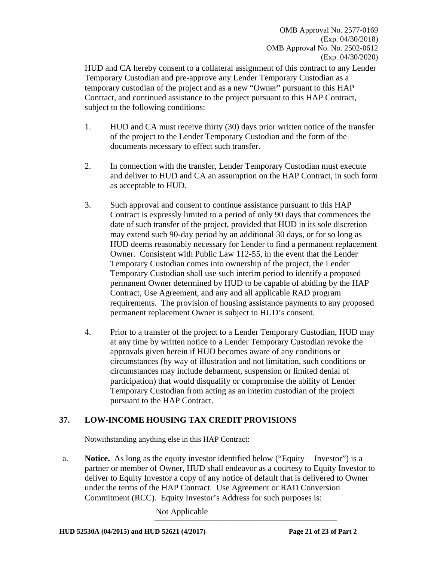OMB Approval No. 2577-0169 (Exp. 04/30/2018) OMB Approval No. No. 2502-0612 (Exp. 04/30/2020)

HUD and CA hereby consent to a collateral assignment of this contract to any Lender Temporary Custodian and pre-approve any Lender Temporary Custodian as a temporary custodian of the project and as a new "Owner" pursuant to this HAP Contract, and continued assistance to the project pursuant to this HAP Contract, subject to the following conditions:

- 1. HUD and CA must receive thirty (30) days prior written notice of the transfer of the project to the Lender Temporary Custodian and the form of the documents necessary to effect such transfer.
- 2. In connection with the transfer, Lender Temporary Custodian must execute and deliver to HUD and CA an assumption on the HAP Contract, in such form as acceptable to HUD.
- 3. Such approval and consent to continue assistance pursuant to this HAP Contract is expressly limited to a period of only 90 days that commences the date of such transfer of the project, provided that HUD in its sole discretion may extend such 90-day period by an additional 30 days, or for so long as HUD deems reasonably necessary for Lender to find a permanent replacement Owner. Consistent with Public Law 112-55, in the event that the Lender Temporary Custodian comes into ownership of the project, the Lender Temporary Custodian shall use such interim period to identify a proposed permanent Owner determined by HUD to be capable of abiding by the HAP Contract, Use Agreement, and any and all applicable RAD program requirements. The provision of housing assistance payments to any proposed permanent replacement Owner is subject to HUD's consent.
- 4. Prior to a transfer of the project to a Lender Temporary Custodian, HUD may at any time by written notice to a Lender Temporary Custodian revoke the approvals given herein if HUD becomes aware of any conditions or circumstances (by way of illustration and not limitation, such conditions or circumstances may include debarment, suspension or limited denial of participation) that would disqualify or compromise the ability of Lender Temporary Custodian from acting as an interim custodian of the project pursuant to the HAP Contract.

# **37. LOW-INCOME HOUSING TAX CREDIT PROVISIONS**

Notwithstanding anything else in this HAP Contract:

a. **Notice.** As long as the equity investor identified below ("Equity Investor") is a partner or member of Owner, HUD shall endeavor as a courtesy to Equity Investor to deliver to Equity Investor a copy of any notice of default that is delivered to Owner under the terms of the HAP Contract. Use Agreement or RAD Conversion Commitment (RCC). Equity Investor's Address for such purposes is:

> \_\_\_\_\_\_\_\_\_\_\_\_\_\_\_\_\_\_\_\_\_\_\_\_\_\_\_\_\_\_\_\_\_\_\_\_\_\_\_\_\_\_\_ Not Applicable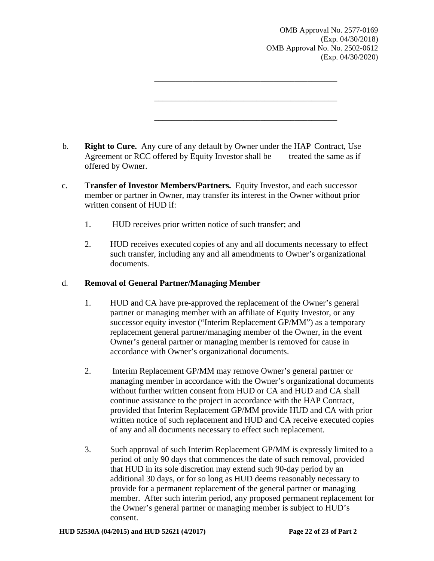OMB Approval No. 2577-0169 (Exp. 04/30/2018) OMB Approval No. No. 2502-0612 (Exp. 04/30/2020)

b. **Right to Cure.** Any cure of any default by Owner under the HAP Contract, Use Agreement or RCC offered by Equity Investor shall be treated the same as if offered by Owner.

\_\_\_\_\_\_\_\_\_\_\_\_\_\_\_\_\_\_\_\_\_\_\_\_\_\_\_\_\_\_\_\_\_\_\_\_\_\_\_\_\_\_\_

\_\_\_\_\_\_\_\_\_\_\_\_\_\_\_\_\_\_\_\_\_\_\_\_\_\_\_\_\_\_\_\_\_\_\_\_\_\_\_\_\_\_\_

\_\_\_\_\_\_\_\_\_\_\_\_\_\_\_\_\_\_\_\_\_\_\_\_\_\_\_\_\_\_\_\_\_\_\_\_\_\_\_\_\_\_\_

- c. **Transfer of Investor Members/Partners.** Equity Investor, and each successor member or partner in Owner, may transfer its interest in the Owner without prior written consent of HUD if:
	- 1. HUD receives prior written notice of such transfer; and
	- 2. HUD receives executed copies of any and all documents necessary to effect such transfer, including any and all amendments to Owner's organizational documents.

### d. **Removal of General Partner/Managing Member**

- 1. HUD and CA have pre-approved the replacement of the Owner's general partner or managing member with an affiliate of Equity Investor, or any successor equity investor ("Interim Replacement GP/MM") as a temporary replacement general partner/managing member of the Owner, in the event Owner's general partner or managing member is removed for cause in accordance with Owner's organizational documents.
- 2. Interim Replacement GP/MM may remove Owner's general partner or managing member in accordance with the Owner's organizational documents without further written consent from HUD or CA and HUD and CA shall continue assistance to the project in accordance with the HAP Contract, provided that Interim Replacement GP/MM provide HUD and CA with prior written notice of such replacement and HUD and CA receive executed copies of any and all documents necessary to effect such replacement.
- 3. Such approval of such Interim Replacement GP/MM is expressly limited to a period of only 90 days that commences the date of such removal, provided that HUD in its sole discretion may extend such 90-day period by an additional 30 days, or for so long as HUD deems reasonably necessary to provide for a permanent replacement of the general partner or managing member. After such interim period, any proposed permanent replacement for the Owner's general partner or managing member is subject to HUD's consent.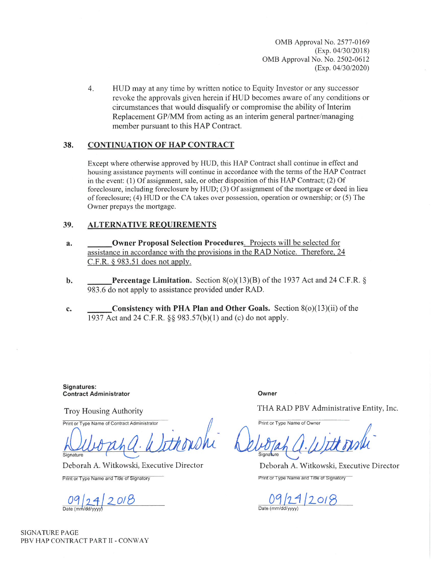OMB Approval No. 2577-0169  $(Exp. 04/30/2018)$ OMB Approval No. No. 2502-0612  $(Exp. 04/30/2020)$ 

 $4.$ HUD may at any time by written notice to Equity Investor or any successor revoke the approvals given herein if HUD becomes aware of any conditions or circumstances that would disqualify or compromise the ability of Interim Replacement GP/MM from acting as an interim general partner/managing member pursuant to this HAP Contract.

#### 38. **CONTINUATION OF HAP CONTRACT**

Except where otherwise approved by HUD, this HAP Contract shall continue in effect and housing assistance payments will continue in accordance with the terms of the HAP Contract in the event: (1) Of assignment, sale, or other disposition of this HAP Contract; (2) Of foreclosure, including foreclosure by HUD; (3) Of assignment of the mortgage or deed in lieu of foreclosure; (4) HUD or the CA takes over possession, operation or ownership; or (5) The Owner prepays the mortgage.

#### 39. **ALTERNATIVE REQUIREMENTS**

- **Owner Proposal Selection Procedures.** Projects will be selected for a. assistance in accordance with the provisions in the RAD Notice. Therefore, 24 C.F.R.  $§$  983.51 does not apply.
- **Percentage Limitation.** Section  $8(0)(13)(B)$  of the 1937 Act and 24 C.F.R. § b. 983.6 do not apply to assistance provided under RAD.
- Consistency with PHA Plan and Other Goals. Section  $8(0)(13)(ii)$  of the c. 1937 Act and 24 C.F.R. §§ 983.57(b)(1) and (c) do not apply.

Signatures: **Contract Administrator** 

**Troy Housing Authority** 

Print or Type Name of Contract Administrator

Signature

Deborah A. Witkowski, Executive Director

Print or Type Name and Title of Signatory

 $09/24/2018$ 

Owner

THA RAD PBV Administrative Entity, Inc.

Print or Type Name of Owner

Deborah A. Witkowski, Executive Director Print or Type Name and Title of Signatory

09/29/2018 Date (mm/dd/vvvv

**SIGNATURE PAGE** PBV HAP CONTRACT PART II - CONWAY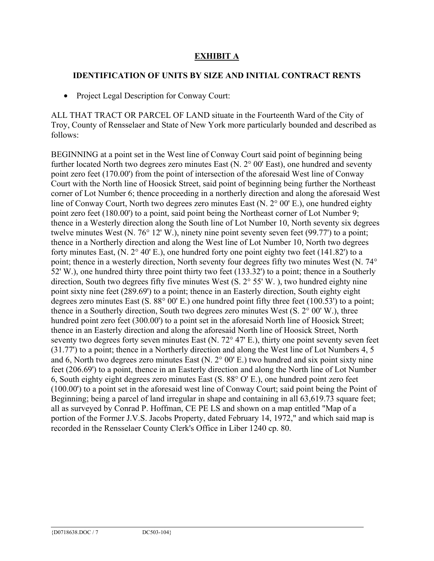# **EXHIBIT A**

# **IDENTIFICATION OF UNITS BY SIZE AND INITIAL CONTRACT RENTS**

• Project Legal Description for Conway Court:

ALL THAT TRACT OR PARCEL OF LAND situate in the Fourteenth Ward of the City of Troy, County of Rensselaer and State of New York more particularly bounded and described as follows:

BEGINNING at a point set in the West line of Conway Court said point of beginning being further located North two degrees zero minutes East (N. 2° 00' East), one hundred and seventy point zero feet (170.00') from the point of intersection of the aforesaid West line of Conway Court with the North line of Hoosick Street, said point of beginning being further the Northeast corner of Lot Number 6; thence proceeding in a northerly direction and along the aforesaid West line of Conway Court, North two degrees zero minutes East (N. 2° 00' E.), one hundred eighty point zero feet (180.00') to a point, said point being the Northeast corner of Lot Number 9; thence in a Westerly direction along the South line of Lot Number 10, North seventy six degrees twelve minutes West (N. 76° 12' W.), ninety nine point seventy seven feet (99.77') to a point; thence in a Northerly direction and along the West line of Lot Number 10, North two degrees forty minutes East,  $(N. 2^{\circ} 40' E)$ , one hundred forty one point eighty two feet (141.82') to a point; thence in a westerly direction, North seventy four degrees fifty two minutes West (N. 74° 52' W.), one hundred thirty three point thirty two feet (133.32') to a point; thence in a Southerly direction, South two degrees fifty five minutes West (S. 2° 55' W. ), two hundred eighty nine point sixty nine feet (289.69') to a point; thence in an Easterly direction, South eighty eight degrees zero minutes East (S. 88° 00' E.) one hundred point fifty three feet (100.53') to a point; thence in a Southerly direction, South two degrees zero minutes West (S. 2° 00' W.), three hundred point zero feet (300.00') to a point set in the aforesaid North line of Hoosick Street; thence in an Easterly direction and along the aforesaid North line of Hoosick Street, North seventy two degrees forty seven minutes East (N. 72° 47' E.), thirty one point seventy seven feet (31.77') to a point; thence in a Northerly direction and along the West line of Lot Numbers 4, 5 and 6, North two degrees zero minutes East (N. 2° 00' E.) two hundred and six point sixty nine feet (206.69') to a point, thence in an Easterly direction and along the North line of Lot Number 6, South eighty eight degrees zero minutes East (S. 88° O' E.), one hundred point zero feet (100.00') to a point set in the aforesaid west line of Conway Court; said point being the Point of Beginning; being a parcel of land irregular in shape and containing in all 63,619.73 square feet; all as surveyed by Conrad P. Hoffman, CE PE LS and shown on a map entitled "Map of a portion of the Former J.V.S. Jacobs Property, dated February 14, 1972," and which said map is recorded in the Rensselaer County Clerk's Office in Liber 1240 cp. 80.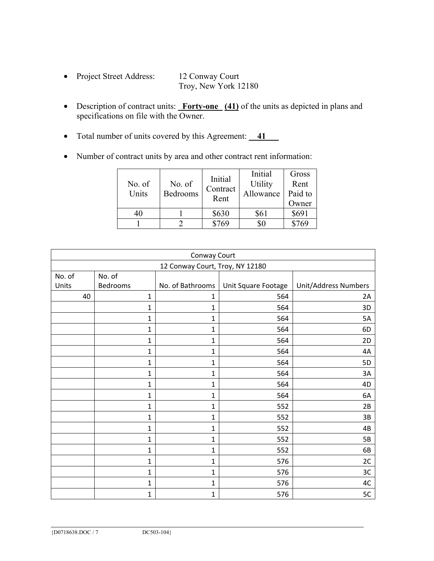- Project Street Address: 12 Conway Court Troy, New York 12180
- Description of contract units: **Forty-one** (41) of the units as depicted in plans and specifications on file with the Owner.
- Total number of units covered by this Agreement: **41**
- Number of contract units by area and other contract rent information:

| No. of<br>Units | No. of<br>Bedrooms | Initial<br>Contract<br>Rent | Initial<br>Utility<br>Allowance | Gross<br>Rent<br>Paid to<br>Owner |
|-----------------|--------------------|-----------------------------|---------------------------------|-----------------------------------|
| 40              |                    | \$630                       | \$61                            | \$691                             |
|                 |                    | \$769                       |                                 | \$769                             |

| Conway Court                    |              |                  |                     |                      |  |  |  |
|---------------------------------|--------------|------------------|---------------------|----------------------|--|--|--|
| 12 Conway Court, Troy, NY 12180 |              |                  |                     |                      |  |  |  |
| No. of                          | No. of       |                  |                     |                      |  |  |  |
| Units                           | Bedrooms     | No. of Bathrooms | Unit Square Footage | Unit/Address Numbers |  |  |  |
| 40                              | $\mathbf{1}$ | $\mathbf{1}$     | 564                 | 2A                   |  |  |  |
|                                 | $\mathbf 1$  | 1                | 564                 | 3D                   |  |  |  |
|                                 | 1            | $\mathbf 1$      | 564                 | 5A                   |  |  |  |
|                                 | 1            | 1                | 564                 | 6D                   |  |  |  |
|                                 | 1            | 1                | 564                 | 2D                   |  |  |  |
|                                 | $\mathbf{1}$ | $\mathbf 1$      | 564                 | 4A                   |  |  |  |
|                                 | $\mathbf{1}$ | $\mathbf 1$      | 564                 | 5D                   |  |  |  |
|                                 | $\mathbf{1}$ | 1                | 564                 | 3A                   |  |  |  |
|                                 | $\mathbf{1}$ | 1                | 564                 | 4D                   |  |  |  |
|                                 | $\mathbf{1}$ | 1                | 564                 | 6A                   |  |  |  |
|                                 | 1            | 1                | 552                 | 2B                   |  |  |  |
|                                 | $\mathbf 1$  | 1                | 552                 | 3B                   |  |  |  |
|                                 | $\mathbf 1$  | 1                | 552                 | 4B                   |  |  |  |
|                                 | 1            | 1                | 552                 | 5B                   |  |  |  |
|                                 | 1            | 1                | 552                 | 6B                   |  |  |  |
|                                 | 1            | 1                | 576                 | 2C                   |  |  |  |
|                                 | $\mathbf{1}$ | 1                | 576                 | 3C                   |  |  |  |
|                                 | $\mathbf{1}$ | 1                | 576                 | 4C                   |  |  |  |
|                                 | $\mathbf 1$  | 1                | 576                 | 5C                   |  |  |  |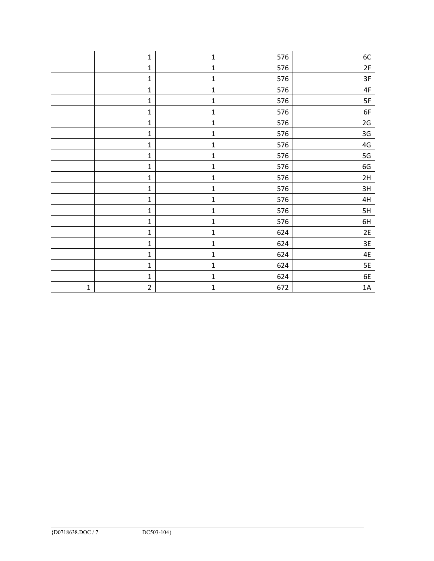|             | $\mathbf{1}$   | $\mathbf 1$ | 576 | 6C              |
|-------------|----------------|-------------|-----|-----------------|
|             | $\mathbf 1$    | $\mathbf 1$ | 576 | 2F              |
|             | $\mathbf 1$    | $\mathbf 1$ | 576 | 3F              |
|             | $\mathbf 1$    | $\mathbf 1$ | 576 | $4\textrm{F}$   |
|             | $\mathbf 1$    | $\mathbf 1$ | 576 | 5F              |
|             | $\mathbf 1$    | $\mathbf 1$ | 576 | 6F              |
|             | $\mathbf 1$    | $\mathbf 1$ | 576 | 2G              |
|             | $\mathbf 1$    | $\mathbf 1$ | 576 | 3G              |
|             | $\mathbf{1}$   | 1           | 576 | 4G              |
|             | $\mathbf 1$    | $\mathbf 1$ | 576 | $5\,\mathrm{G}$ |
|             | $\mathbf 1$    | $\mathbf 1$ | 576 | 6G              |
|             | $\mathbf 1$    | $\mathbf 1$ | 576 | 2H              |
|             | $\mathbf 1$    | $\mathbf 1$ | 576 | 3H              |
|             | $\mathbf 1$    | $\mathbf 1$ | 576 | 4H              |
|             | $\mathbf 1$    | $\mathbf 1$ | 576 | 5H              |
|             | $\mathbf 1$    | $\mathbf 1$ | 576 | 6H              |
|             | $\mathbf 1$    | $\mathbf 1$ | 624 | 2E              |
|             | $\mathbf 1$    | $\mathbf 1$ | 624 | 3E              |
|             | $\mathbf 1$    | $\mathbf 1$ | 624 | 4E              |
|             | $\mathbf{1}$   | $\mathbf 1$ | 624 | 5E              |
|             | $\mathbf 1$    | $\mathbf 1$ | 624 | 6E              |
| $\mathbf 1$ | $\overline{2}$ | $\mathbf 1$ | 672 | $1A$            |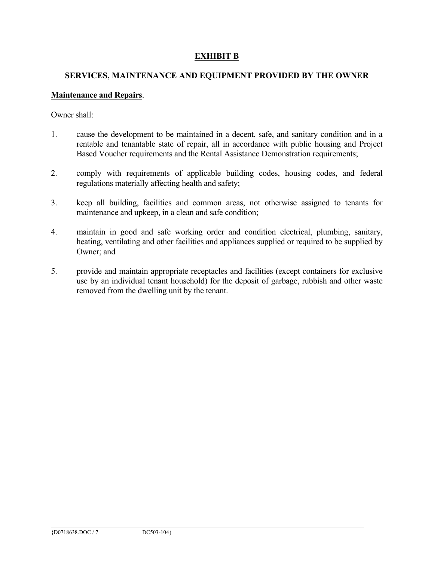# **EXHIBIT B**

# **SERVICES, MAINTENANCE AND EQUIPMENT PROVIDED BY THE OWNER**

### **Maintenance and Repairs**.

Owner shall:

- 1. cause the development to be maintained in a decent, safe, and sanitary condition and in a rentable and tenantable state of repair, all in accordance with public housing and Project Based Voucher requirements and the Rental Assistance Demonstration requirements;
- 2. comply with requirements of applicable building codes, housing codes, and federal regulations materially affecting health and safety;
- 3. keep all building, facilities and common areas, not otherwise assigned to tenants for maintenance and upkeep, in a clean and safe condition;
- 4. maintain in good and safe working order and condition electrical, plumbing, sanitary, heating, ventilating and other facilities and appliances supplied or required to be supplied by Owner; and
- 5. provide and maintain appropriate receptacles and facilities (except containers for exclusive use by an individual tenant household) for the deposit of garbage, rubbish and other waste removed from the dwelling unit by the tenant.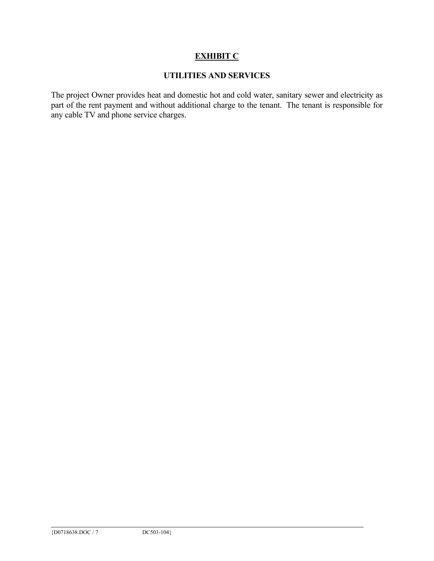# **EXHIBIT C**

# **UTILITIES AND SERVICES**

The project Owner provides heat and domestic hot and cold water, sanitary sewer and electricity as part of the rent payment and without additional charge to the tenant. The tenant is responsible for any cable TV and phone service charges.